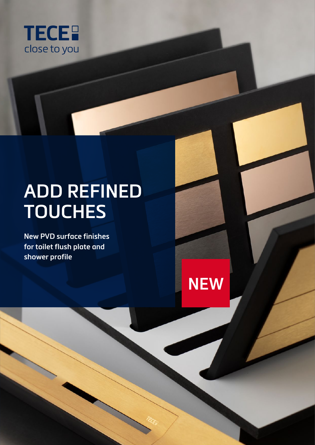

# **ADD REFINED TOUCHES**

**NEW**

**New PVD surface finishes for toilet flush plate and shower profile**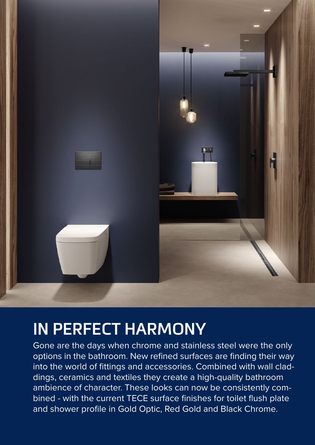

## **IN PERFECT HARMONY**

Gone are the days when chrome and stainless steel were the only options in the bathroom. New refined surfaces are finding their way into the world of fittings and accessories. Combined with wall claddings, ceramics and textiles they create a high-quality bathroom ambience of character. These looks can now be consistently combined - with the current TECE surface finishes for toilet flush plate and shower profile in Gold Optic, Red Gold and Black Chrome.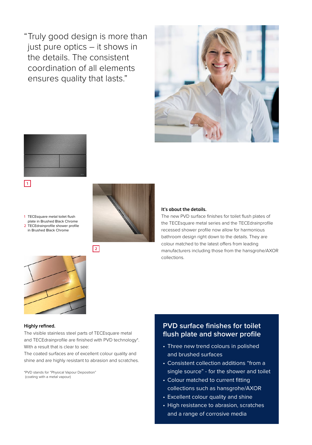" Truly good design is more than just pure optics – it shows in the details. The consistent coordination of all elements ensures quality that lasts."





1 TECEsquare metal toilet flush plate in Brushed Black Chrome 2 TECEdrainprofile shower profile in Brushed Black Chrome



#### **It's about the details.**

The new PVD surface finishes for toilet flush plates of the TECEsquare metal series and the TECEdrainprofile recessed shower profile now allow for harmonious bathroom design right down to the details. They are colour matched to the latest offers from leading manufacturers including those from the hansgrohe/AXOR collections.



#### **Highly refined.**

The visible stainless steel parts of TECEsquare metal and TECEdrainprofile are finished with PVD technology\*. With a result that is clear to see:

**2**

The coated surfaces are of excellent colour quality and shine and are highly resistant to abrasion and scratches.

\*PVD stands for "Physical Vapour Deposition" (coating with a metal vapour)

#### **PVD surface finishes for toilet flush plate and shower profile**

- Three new trend colours in polished and brushed surfaces
- Consistent collection additions "from a single source" - for the shower and toilet
- Colour matched to current fitting collections such as hansgrohe/AXOR
- Excellent colour quality and shine
- High resistance to abrasion, scratches and a range of corrosive media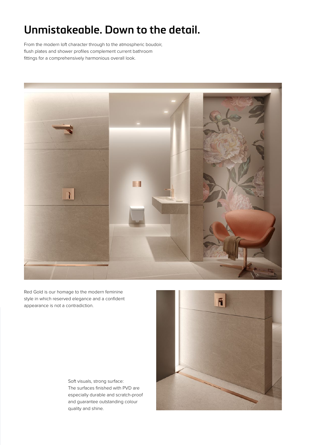## **Unmistakeable. Down to the detail.**

From the modern loft character through to the atmospheric boudoir, flush plates and shower profiles complement current bathroom fittings for a comprehensively harmonious overall look.



Red Gold is our homage to the modern feminine style in which reserved elegance and a confident appearance is not a contradiction.

> Soft visuals, strong surface: The surfaces finished with PVD are especially durable and scratch-proof and guarantee outstanding colour quality and shine.

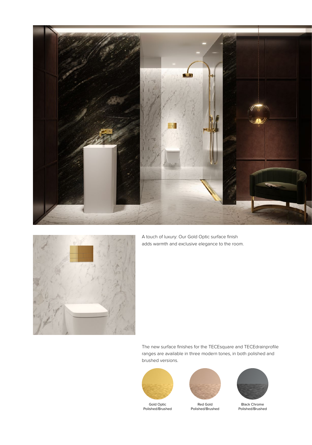



A touch of luxury: Our Gold Optic surface finish adds warmth and exclusive elegance to the room.

The new surface finishes for the TECEsquare and TECEdrainprofile ranges are available in three modern tones, in both polished and brushed versions.



Polished/Brushed



Red Gold Polished/Brushed



Black Chrome Polished/Brushed